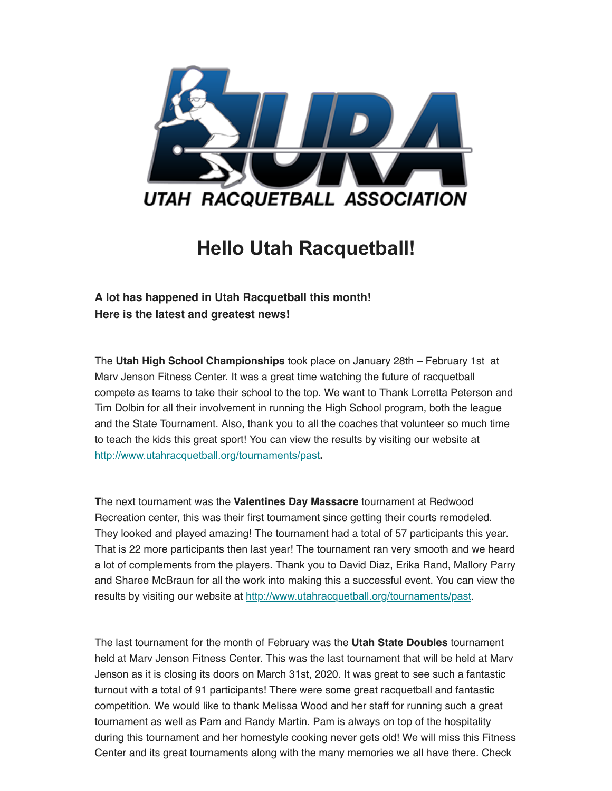

## **Hello Utah Racquetball!**

## **A lot has happened in Utah Racquetball this month! Here is the latest and greatest news!**

The **Utah High School Championships** took place on January 28th – February 1st at Marv Jenson Fitness Center. It was a great time watching the future of racquetball compete as teams to take their school to the top. We want to Thank Lorretta Peterson and Tim Dolbin for all their involvement in running the High School program, both the league and the State Tournament. Also, thank you to all the coaches that volunteer so much time to teach the kids this great sport! You can view the results by visiting our website at [http://www.utahracquetball.org/tourna](https://utahracquetball.us17.list-manage.com/track/click?u=27bcf83c232d6c96f4f8be272&id=9d7f00dafa&e=69d0b37ecc)[ments/past](https://utahracquetball.us17.list-manage.com/track/click?u=27bcf83c232d6c96f4f8be272&id=71bcca1f6d&e=69d0b37ecc)**.**

**T**he next tournament was the **Valentines Day Massacre** tournament at Redwood Recreation center, this was their first tournament since getting their courts remodeled. They looked and played amazing! The tournament had a total of 57 participants this year. That is 22 more participants then last year! The tournament ran very smooth and we heard a lot of complements from the players. Thank you to David Diaz, Erika Rand, Mallory Parry and Sharee McBraun for all the work into making this a successful event. You can view the results by visiting our website at [http://www.utahracquetball.org/tournaments/past](https://utahracquetball.us17.list-manage.com/track/click?u=27bcf83c232d6c96f4f8be272&id=56da1f5e9f&e=69d0b37ecc).

The last tournament for the month of February was the **Utah State Doubles** tournament held at Marv Jenson Fitness Center. This was the last tournament that will be held at Marv Jenson as it is closing its doors on March 31st, 2020. It was great to see such a fantastic turnout with a total of 91 participants! There were some great racquetball and fantastic competition. We would like to thank Melissa Wood and her staff for running such a great tournament as well as Pam and Randy Martin. Pam is always on top of the hospitality during this tournament and her homestyle cooking never gets old! We will miss this Fitness Center and its great tournaments along with the many memories we all have there. Check